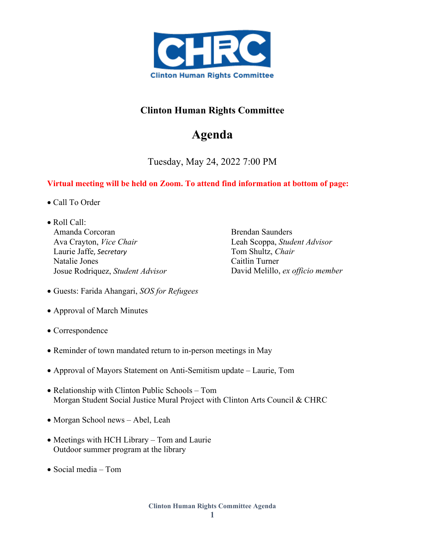

## **Clinton Human Rights Committee**

## **Agenda**

Tuesday, May 24, 2022 7:00 PM

## **Virtual meeting will be held on Zoom. To attend find information at bottom of page:**

- Call To Order
- Roll Call: Amanda Corcoran Ava Crayton, *Vice Chair* Laurie Jaffe, *Secretary* Natalie Jones Josue Rodriquez, *Student Advisor*

Brendan Saunders Leah Scoppa, *Student Advisor*  Tom Shultz, *Chair* Caitlin Turner David Melillo, *ex officio member*

- Guests: Farida Ahangari, *SOS for Refugees*
- Approval of March Minutes
- Correspondence
- Reminder of town mandated return to in-person meetings in May
- Approval of Mayors Statement on Anti-Semitism update Laurie, Tom
- Relationship with Clinton Public Schools Tom Morgan Student Social Justice Mural Project with Clinton Arts Council & CHRC
- Morgan School news Abel, Leah
- Meetings with HCH Library Tom and Laurie Outdoor summer program at the library
- Social media Tom